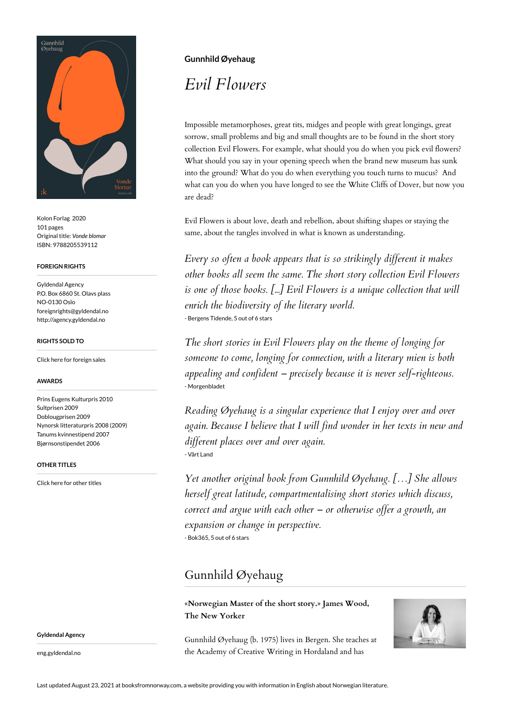

Kolon Forlag 2020 101 pages Original title: *Vonde blomar* ISBN: 9788205539112

#### **FOREIGN RIGHTS**

Gyldendal Agency P.O. Box 6860 St. Olavs plass NO-0130 Oslo foreignrights@gyldendal.no http://agency.gyldendal.no

#### **RIGHTS SOLD TO**

[Click here for foreign sales](https://agency.gyldendal.no/authors/oeyehaug-gunnhild/a-20080-en/)

#### **AWARDS**

Prins Eugens Kulturpris 2010 Sultprisen 2009 Doblougprisen 2009 Nynorsk litteraturpris 2008 (2009) Tanums kvinnestipend 2007 Bjørnsonstipendet 2006

#### **OTHER TITLES**

**Gyldendal Agency**

eng.gyldendal.no

[Click here for other titles](https://agency.gyldendal.no/authors/oeyehaug-gunnhild/a-20080-en/)

### **Gunnhild Øyehaug**

# *Evil Flowers*

Impossible metamorphoses, great tits, midges and people with great longings, great sorrow, small problems and big and small thoughts are to be found in the short story collection Evil Flowers. For example, what should you do when you pick evil flowers? What should you say in your opening speech when the brand new museum has sunk into the ground? What do you do when everything you touch turns to mucus? And what can you do when you have longed to see the White Cliffs of Dover, but now you are dead?

Evil Flowers is about love, death and rebellion, about shifting shapes or staying the same, about the tangles involved in what is known as understanding.

*Every so often a book appears that is so strikingly different it makes other books all seem the same. The short story collection Evil Flowers is one of those books. [...] Evil Flowers is a unique collection that will enrich the biodiversity of the literary world.* - Bergens Tidende, 5 out of 6 stars

*The short stories in Evil Flowers play on the theme of longing for someone to come, longing for connection, with a literary mien is both appealing and confident – precisely because it is never self-righteous.* - Morgenbladet

*Reading Øyehaug is a singular experience that I enjoy over and over again. Because I believe that I will find wonder in her texts in new and different places over and over again.* - Vårt Land

*Yet another original book from Gunnhild Øyehaug. […] She allows herself great latitude, compartmentalising short stories which discuss, correct and argue with each other – or otherwise offer a growth, an expansion or change in perspective.* - Bok365, 5 out of 6 stars

## Gunnhild Øyehaug

**«Norwegian Master of the short story.» James Wood, The New Yorker**

Gunnhild Øyehaug (b. 1975) lives in Bergen. She teaches at the Academy of Creative Writing in Hordaland and has